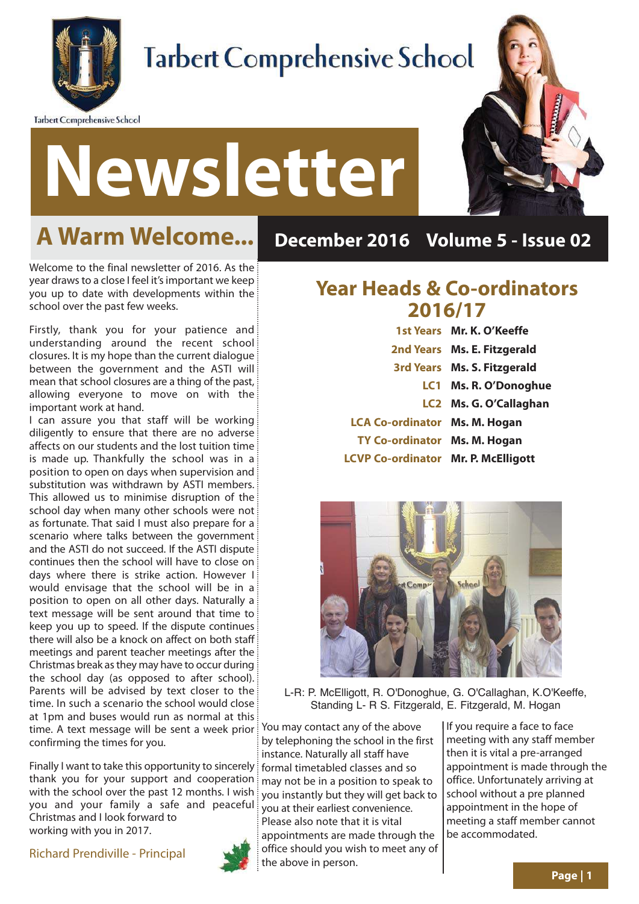

**Tarbert Comprehensive School** 

## **Tarbert Comprehensive School**



### **A Warm Welcome...**

**Newsletter**

Welcome to the final newsletter of 2016. As the year draws to a close I feel it's important we keep you up to date with developments within the school over the past few weeks.

Firstly, thank you for your patience and understanding around the recent school closures. It is my hope than the current dialogue between the government and the ASTI will mean that school closures are a thing of the past, allowing everyone to move on with the important work at hand.

I can assure you that staff will be working diligently to ensure that there are no adverse affects on our students and the lost tuition time is made up. Thankfully the school was in a position to open on days when supervision and substitution was withdrawn by ASTI members. This allowed us to minimise disruption of the school day when many other schools were not as fortunate. That said I must also prepare for a scenario where talks between the government and the ASTI do not succeed. If the ASTI dispute continues then the school will have to close on days where there is strike action. However I would envisage that the school will be in a position to open on all other days. Naturally a text message will be sent around that time to keep you up to speed. If the dispute continues there will also be a knock on affect on both staff meetings and parent teacher meetings after the Christmas break as they may have to occur during the school day (as opposed to after school). Parents will be advised by text closer to the time. In such a scenario the school would close at 1pm and buses would run as normal at this time. A text message will be sent a week prior confirming the times for you.

Finally I want to take this opportunity to sincerely thank you for your support and cooperation with the school over the past 12 months. I wish you and your family a safe and peaceful Christmas and I look forward to working with you in 2017.

Richard Prendiville - Principal



#### **December 2016 Volume 5 - Issue 02**

#### **Year Heads & Co-ordinators 2016/17**

|                                            | 1st Years Mr. K. O'Keeffe   |
|--------------------------------------------|-----------------------------|
|                                            | 2nd Years Ms. E. Fitzgerald |
|                                            | 3rd Years Ms. S. Fitzgerald |
|                                            | LC1 Ms. R. O'Donoghue       |
|                                            | LC2 Ms. G. O'Callaghan      |
| <b>LCA Co-ordinator Ms. M. Hogan</b>       |                             |
| TY Co-ordinator Ms. M. Hogan               |                             |
| <b>LCVP Co-ordinator Mr. P. McElligott</b> |                             |



L-R: P. McElligott, R. O'Donoghue, G. O'Callaghan, K.O'Keeffe, Standing L- R S. Fitzgerald, E. Fitzgerald, M. Hogan

You may contact any of the above by telephoning the school in the first instance. Naturally all staff have formal timetabled classes and so may not be in a position to speak to you instantly but they will get back to you at their earliest convenience. Please also note that it is vital appointments are made through the office should you wish to meet any of the above in person.

If you require a face to face meeting with any staff member then it is vital a pre-arranged appointment is made through the office. Unfortunately arriving at school without a pre planned appointment in the hope of meeting a staff member cannot be accommodated.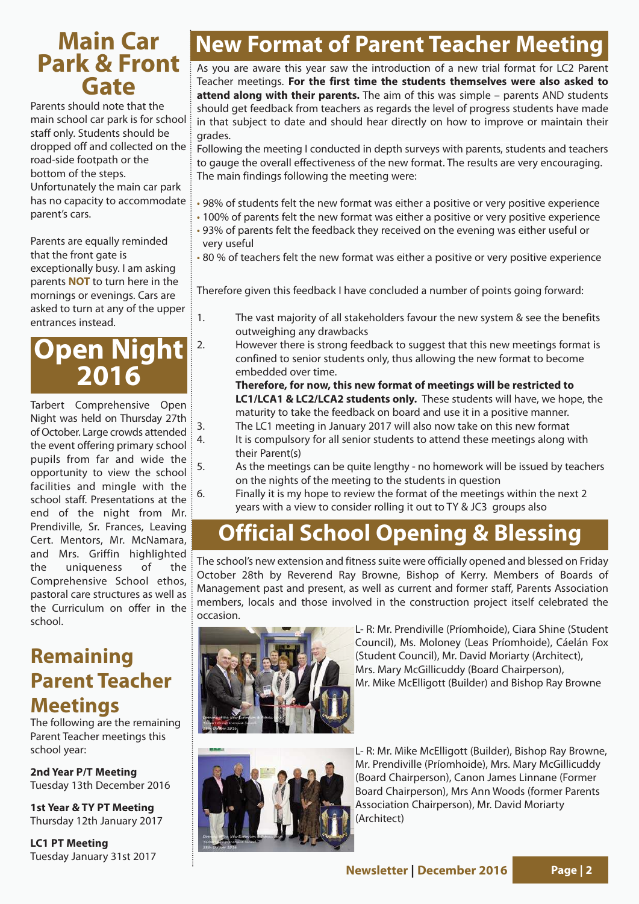#### **Main Car Park & Front Gate**

Parents should note that the main school car park is for school staff only. Students should be dropped off and collected on the road-side footpath or the bottom of the steps.

Unfortunately the main car park has no capacity to accommodate parent's cars.

Parents are equally reminded that the front gate is exceptionally busy. I am asking parents **NOT** to turn here in the mornings or evenings. Cars are asked to turn at any of the upper entrances instead.

#### **Open Night 2016**

Tarbert Comprehensive Open Night was held on Thursday 27th of October. Large crowds attended the event offering primary school pupils from far and wide the opportunity to view the school facilities and mingle with the school staff. Presentations at the end of the night from Mr. Prendiville, Sr. Frances, Leaving Cert. Mentors, Mr. McNamara, and Mrs. Griffin highlighted the uniqueness of the Comprehensive School ethos, pastoral care structures as well as the Curriculum on offer in the school.

#### **Remaining Parent Teacher Meetings**

The following are the remaining Parent Teacher meetings this school year:

**2nd Year P/T Meeting** Tuesday 13th December 2016

**1st Year & TY PT Meeting** Thursday 12th January 2017

**LC1 PT Meeting** Tuesday January 31st 2017

### **New Format of Parent Teacher Meeting**

As you are aware this year saw the introduction of a new trial format for LC2 Parent Teacher meetings. **For the first time the students themselves were also asked to attend along with their parents.** The aim of this was simple – parents AND students should get feedback from teachers as regards the level of progress students have made in that subject to date and should hear directly on how to improve or maintain their grades.

Following the meeting I conducted in depth surveys with parents, students and teachers to gauge the overall effectiveness of the new format. The results are very encouraging. The main findings following the meeting were:

- 98% of students felt the new format was either a positive or very positive experience
- 100% of parents felt the new format was either a positive or very positive experience • 93% of parents felt the feedback they received on the evening was either useful or very useful

• 80 % of teachers felt the new format was either a positive or very positive experience

Therefore given this feedback I have concluded a number of points going forward:

- 1. The vast majority of all stakeholders favour the new system & see the benefits outweighing any drawbacks
- 2. However there is strong feedback to suggest that this new meetings format is confined to senior students only, thus allowing the new format to become embedded over time.

**Therefore, for now, this new format of meetings will be restricted to LC1/LCA1 & LC2/LCA2 students only.** These students will have, we hope, the maturity to take the feedback on board and use it in a positive manner.

- 3. The LC1 meeting in January 2017 will also now take on this new format
- 4. It is compulsory for all senior students to attend these meetings along with their Parent(s)
- 5. As the meetings can be quite lengthy no homework will be issued by teachers on the nights of the meeting to the students in question
- 6. Finally it is my hope to review the format of the meetings within the next 2 years with a view to consider rolling it out to TY & JC3 groups also

#### **Official School Opening & Blessing**

The school's new extension and fitness suite were officially opened and blessed on Friday October 28th by Reverend Ray Browne, Bishop of Kerry. Members of Boards of Management past and present, as well as current and former staff, Parents Association members, locals and those involved in the construction project itself celebrated the occasion.



L- R: Mr. Prendiville (Príomhoide), Ciara Shine (Student Council), Ms. Moloney (Leas Príomhoide), Cáelán Fox (Student Council), Mr. David Moriarty (Architect), Mrs. Mary McGillicuddy (Board Chairperson), Mr. Mike McElligott (Builder) and Bishop Ray Browne



L- R: Mr. Mike McElligott (Builder), Bishop Ray Browne, Mr. Prendiville (Príomhoide), Mrs. Mary McGillicuddy (Board Chairperson), Canon James Linnane (Former Board Chairperson), Mrs Ann Woods (former Parents Association Chairperson), Mr. David Moriarty (Architect)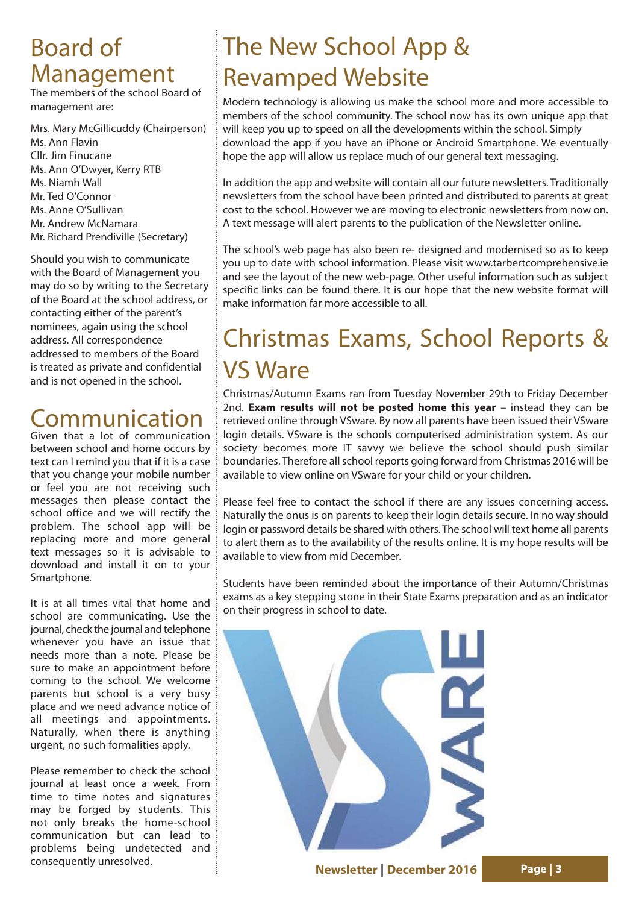#### Board of Management

The members of the school Board of management are:

Mrs. Mary McGillicuddy (Chairperson) Ms. Ann Flavin Cllr. Jim Finucane Ms. Ann O'Dwyer, Kerry RTB Ms. Niamh Wall Mr. Ted O'Connor Ms. Anne O'Sullivan Mr. Andrew McNamara Mr. Richard Prendiville (Secretary)

Should you wish to communicate with the Board of Management you may do so by writing to the Secretary of the Board at the school address, or contacting either of the parent's nominees, again using the school address. All correspondence addressed to members of the Board is treated as private and confidential and is not opened in the school.

### Communication

Given that a lot of communication between school and home occurs by text can I remind you that if it is a case that you change your mobile number or feel you are not receiving such messages then please contact the school office and we will rectify the problem. The school app will be replacing more and more general text messages so it is advisable to download and install it on to your Smartphone.

It is at all times vital that home and school are communicating. Use the journal, check the journal and telephone whenever you have an issue that needs more than a note. Please be sure to make an appointment before coming to the school. We welcome parents but school is a very busy place and we need advance notice of all meetings and appointments. Naturally, when there is anything urgent, no such formalities apply.

Please remember to check the school journal at least once a week. From time to time notes and signatures may be forged by students. This not only breaks the home-school communication but can lead to problems being undetected and consequently unresolved.

### The New School App & Revamped Website

Modern technology is allowing us make the school more and more accessible to members of the school community. The school now has its own unique app that will keep you up to speed on all the developments within the school. Simply download the app if you have an iPhone or Android Smartphone. We eventually hope the app will allow us replace much of our general text messaging.

In addition the app and website will contain all our future newsletters. Traditionally newsletters from the school have been printed and distributed to parents at great cost to the school. However we are moving to electronic newsletters from now on. A text message will alert parents to the publication of the Newsletter online.

The school's web page has also been re- designed and modernised so as to keep you up to date with school information. Please visit www.tarbertcomprehensive.ie and see the layout of the new web-page. Other useful information such as subject specific links can be found there. It is our hope that the new website format will make information far more accessible to all.

### Christmas Exams, School Reports & VS Ware

Christmas/Autumn Exams ran from Tuesday November 29th to Friday December 2nd. **Exam results will not be posted home this year** – instead they can be retrieved online through VSware. By now all parents have been issued their VSware login details. VSware is the schools computerised administration system. As our society becomes more IT savvy we believe the school should push similar boundaries. Therefore all school reports going forward from Christmas 2016 will be available to view online on VSware for your child or your children.

Please feel free to contact the school if there are any issues concerning access. Naturally the onus is on parents to keep their login details secure. In no way should login or password details be shared with others. The school will text home all parents to alert them as to the availability of the results online. It is my hope results will be available to view from mid December.

Students have been reminded about the importance of their Autumn/Christmas exams as a key stepping stone in their State Exams preparation and as an indicator on their progress in school to date.

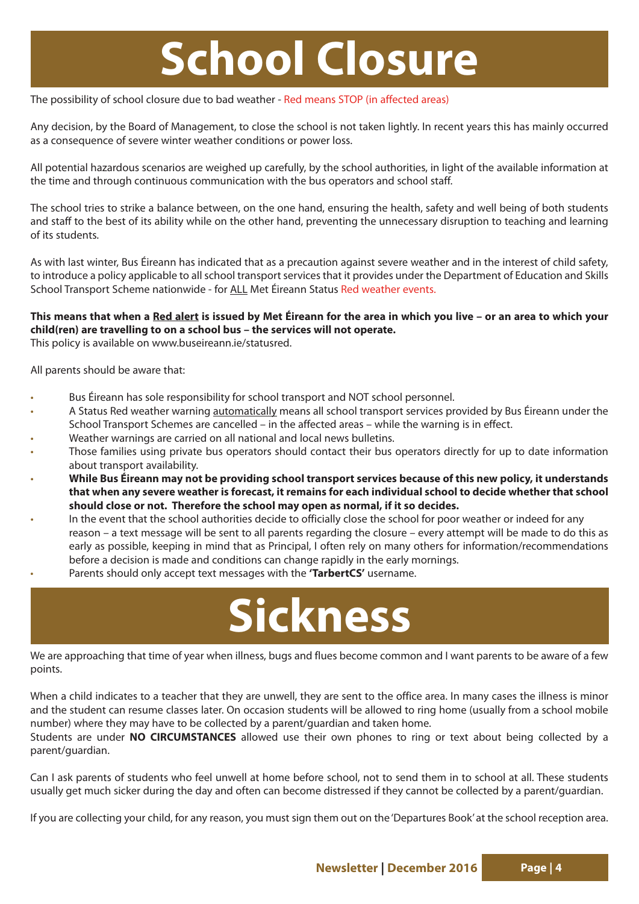## **School Closure**

The possibility of school closure due to bad weather - Red means STOP (in affected areas)

Any decision, by the Board of Management, to close the school is not taken lightly. In recent years this has mainly occurred as a consequence of severe winter weather conditions or power loss.

All potential hazardous scenarios are weighed up carefully, by the school authorities, in light of the available information at the time and through continuous communication with the bus operators and school staff.

The school tries to strike a balance between, on the one hand, ensuring the health, safety and well being of both students and staff to the best of its ability while on the other hand, preventing the unnecessary disruption to teaching and learning of its students.

As with last winter, Bus Éireann has indicated that as a precaution against severe weather and in the interest of child safety, to introduce a policy applicable to all school transport services that it provides under the Department of Education and Skills School Transport Scheme nationwide - for ALL Met Éireann Status Red weather events.

#### **This means that when a Red alert is issued by Met Éireann for the area in which you live – or an area to which your child(ren) are travelling to on a school bus – the services will not operate.**

This policy is available on www.buseireann.ie/statusred.

All parents should be aware that:

- Bus Éireann has sole responsibility for school transport and NOT school personnel.
- A Status Red weather warning automatically means all school transport services provided by Bus Éireann under the School Transport Schemes are cancelled – in the affected areas – while the warning is in effect.
- Weather warnings are carried on all national and local news bulletins.
- Those families using private bus operators should contact their bus operators directly for up to date information about transport availability.
- **While Bus Éireann may not be providing school transport services because of this new policy, it understands that when any severe weather is forecast, it remains for each individual school to decide whether that school should close or not. Therefore the school may open as normal, if it so decides.**
- In the event that the school authorities decide to officially close the school for poor weather or indeed for any reason – a text message will be sent to all parents regarding the closure – every attempt will be made to do this as early as possible, keeping in mind that as Principal, I often rely on many others for information/recommendations before a decision is made and conditions can change rapidly in the early mornings.
- Parents should only accept text messages with the **'TarbertCS'** username.

## **Sickness**

We are approaching that time of year when illness, bugs and flues become common and I want parents to be aware of a few points.

When a child indicates to a teacher that they are unwell, they are sent to the office area. In many cases the illness is minor and the student can resume classes later. On occasion students will be allowed to ring home (usually from a school mobile number) where they may have to be collected by a parent/guardian and taken home.

Students are under **NO CIRCUMSTANCES** allowed use their own phones to ring or text about being collected by a parent/guardian.

Can I ask parents of students who feel unwell at home before school, not to send them in to school at all. These students usually get much sicker during the day and often can become distressed if they cannot be collected by a parent/guardian.

If you are collecting your child, for any reason, you must sign them out on the 'Departures Book' at the school reception area.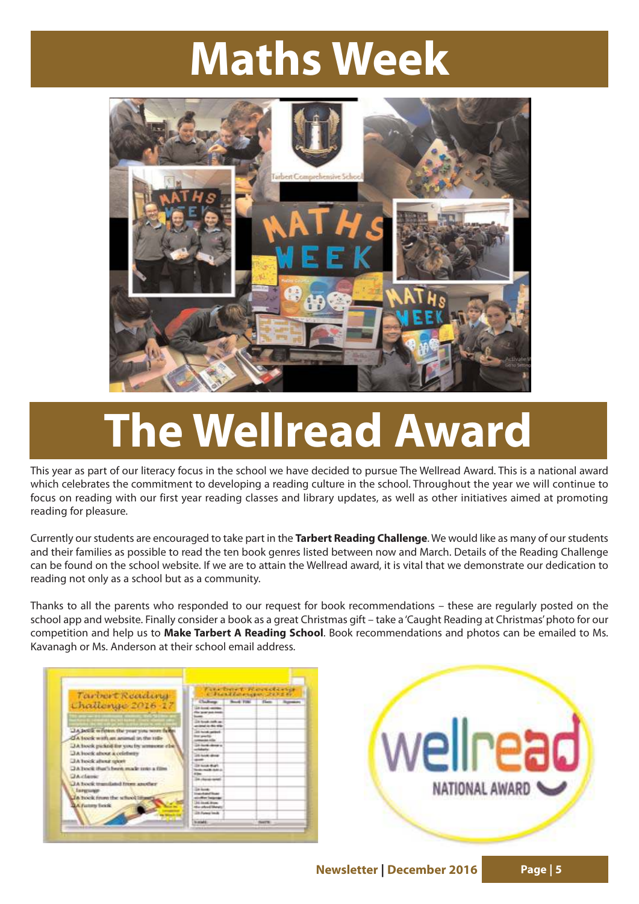## **Maths Week**



# **The Wellread Award**

This year as part of our literacy focus in the school we have decided to pursue The Wellread Award. This is a national award which celebrates the commitment to developing a reading culture in the school. Throughout the year we will continue to focus on reading with our first year reading classes and library updates, as well as other initiatives aimed at promoting reading for pleasure.

Currently our students are encouraged to take part in the **Tarbert Reading Challenge**. We would like as many of our students and their families as possible to read the ten book genres listed between now and March. Details of the Reading Challenge can be found on the school website. If we are to attain the Wellread award, it is vital that we demonstrate our dedication to reading not only as a school but as a community.

Thanks to all the parents who responded to our request for book recommendations – these are regularly posted on the school app and website. Finally consider a book as a great Christmas gift – take a 'Caught Reading at Christmas' photo for our competition and help us to **Make Tarbert A Reading School**. Book recommendations and photos can be emailed to Ms. Kavanagh or Ms. Anderson at their school email address.

| Tarinert Readana                                                                 | Fake Denett Plansactions<br>Charlinespectrum       |                                     |               |  |
|----------------------------------------------------------------------------------|----------------------------------------------------|-------------------------------------|---------------|--|
|                                                                                  |                                                    | Clahop  Book File: Flate  Superson, |               |  |
| Challenge 2016-17<br><b>Construction of the Construction of the Construction</b> |                                                    |                                     |               |  |
|                                                                                  | 14 North Andy an<br><b>Column For Motor Willie</b> |                                     |               |  |
| LtA lackik written the year you worn falls<br>CA book with an animal in the ride | 104 Horsey and Seat                                |                                     |               |  |
| JA look pulled by you by announced it                                            | <b><i>Inchestrate &amp;</i></b>                    |                                     |               |  |
| JA book about a celeberry<br><b>CIA holds allow sport</b>                        | <b>CA Guide above</b>                              |                                     |               |  |
| TA book that's been made uses a film                                             | <b>South Board</b><br><b>CHARLES CARD CO</b>       |                                     |               |  |
| <b>CA classe</b><br>JA book translated from another                              | Tot charge send                                    |                                     |               |  |
| <b>Internation</b><br>The brook finant the school littered                       | <b>Dallaced</b><br>alotter launa                   |                                     |               |  |
| <b>BA Futury Total</b>                                                           | <b>At in all from</b><br>the advertisings          |                                     |               |  |
|                                                                                  | Life Parkers Insula                                |                                     |               |  |
|                                                                                  | <b>NUMBER</b>                                      |                                     | <b>Beatty</b> |  |

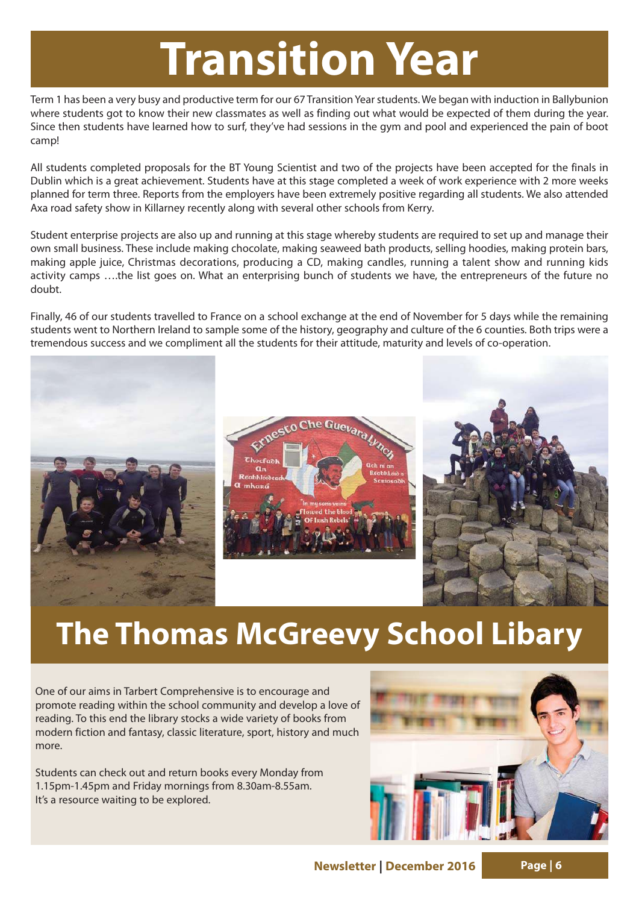## **Transition Year**

Term 1 has been a very busy and productive term for our 67 Transition Year students. We began with induction in Ballybunion where students got to know their new classmates as well as finding out what would be expected of them during the year. Since then students have learned how to surf, they've had sessions in the gym and pool and experienced the pain of boot camp!

All students completed proposals for the BT Young Scientist and two of the projects have been accepted for the finals in Dublin which is a great achievement. Students have at this stage completed a week of work experience with 2 more weeks planned for term three. Reports from the employers have been extremely positive regarding all students. We also attended Axa road safety show in Killarney recently along with several other schools from Kerry.

Student enterprise projects are also up and running at this stage whereby students are required to set up and manage their own small business. These include making chocolate, making seaweed bath products, selling hoodies, making protein bars, making apple juice, Christmas decorations, producing a CD, making candles, running a talent show and running kids activity camps ….the list goes on. What an enterprising bunch of students we have, the entrepreneurs of the future no doubt.

Finally, 46 of our students travelled to France on a school exchange at the end of November for 5 days while the remaining students went to Northern Ireland to sample some of the history, geography and culture of the 6 counties. Both trips were a tremendous success and we compliment all the students for their attitude, maturity and levels of co-operation.



### **The Thomas McGreevy School Libary**

One of our aims in Tarbert Comprehensive is to encourage and promote reading within the school community and develop a love of reading. To this end the library stocks a wide variety of books from modern fiction and fantasy, classic literature, sport, history and much more.

Students can check out and return books every Monday from 1.15pm-1.45pm and Friday mornings from 8.30am-8.55am. It's a resource waiting to be explored.

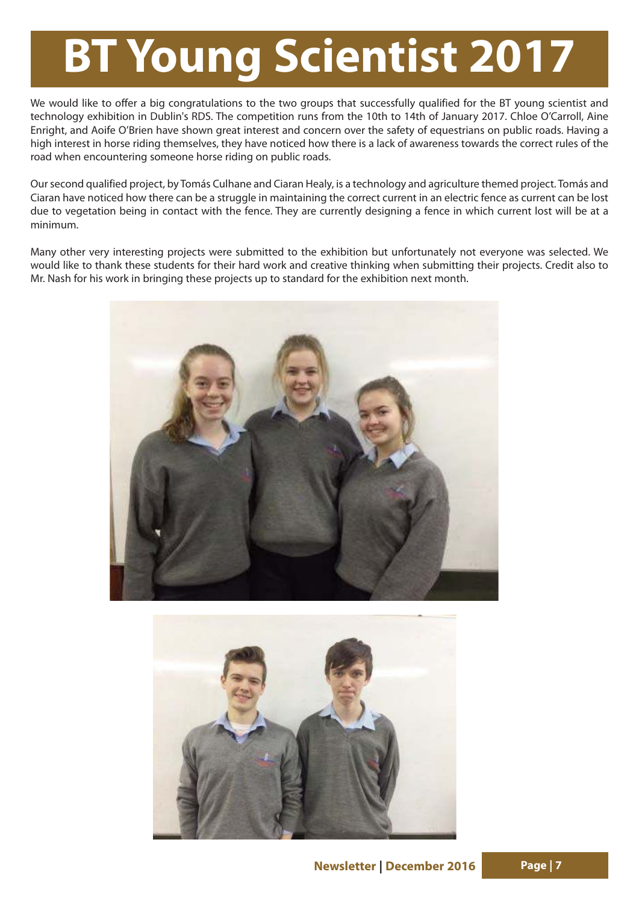# **BT Young Scientist 2017**

We would like to offer a big congratulations to the two groups that successfully qualified for the BT young scientist and technology exhibition in Dublin's RDS. The competition runs from the 10th to 14th of January 2017. Chloe O'Carroll, Aine Enright, and Aoife O'Brien have shown great interest and concern over the safety of equestrians on public roads. Having a high interest in horse riding themselves, they have noticed how there is a lack of awareness towards the correct rules of the road when encountering someone horse riding on public roads.

Our second qualified project, by Tomás Culhane and Ciaran Healy, is a technology and agriculture themed project. Tomás and Ciaran have noticed how there can be a struggle in maintaining the correct current in an electric fence as current can be lost due to vegetation being in contact with the fence. They are currently designing a fence in which current lost will be at a minimum.

Many other very interesting projects were submitted to the exhibition but unfortunately not everyone was selected. We would like to thank these students for their hard work and creative thinking when submitting their projects. Credit also to Mr. Nash for his work in bringing these projects up to standard for the exhibition next month.